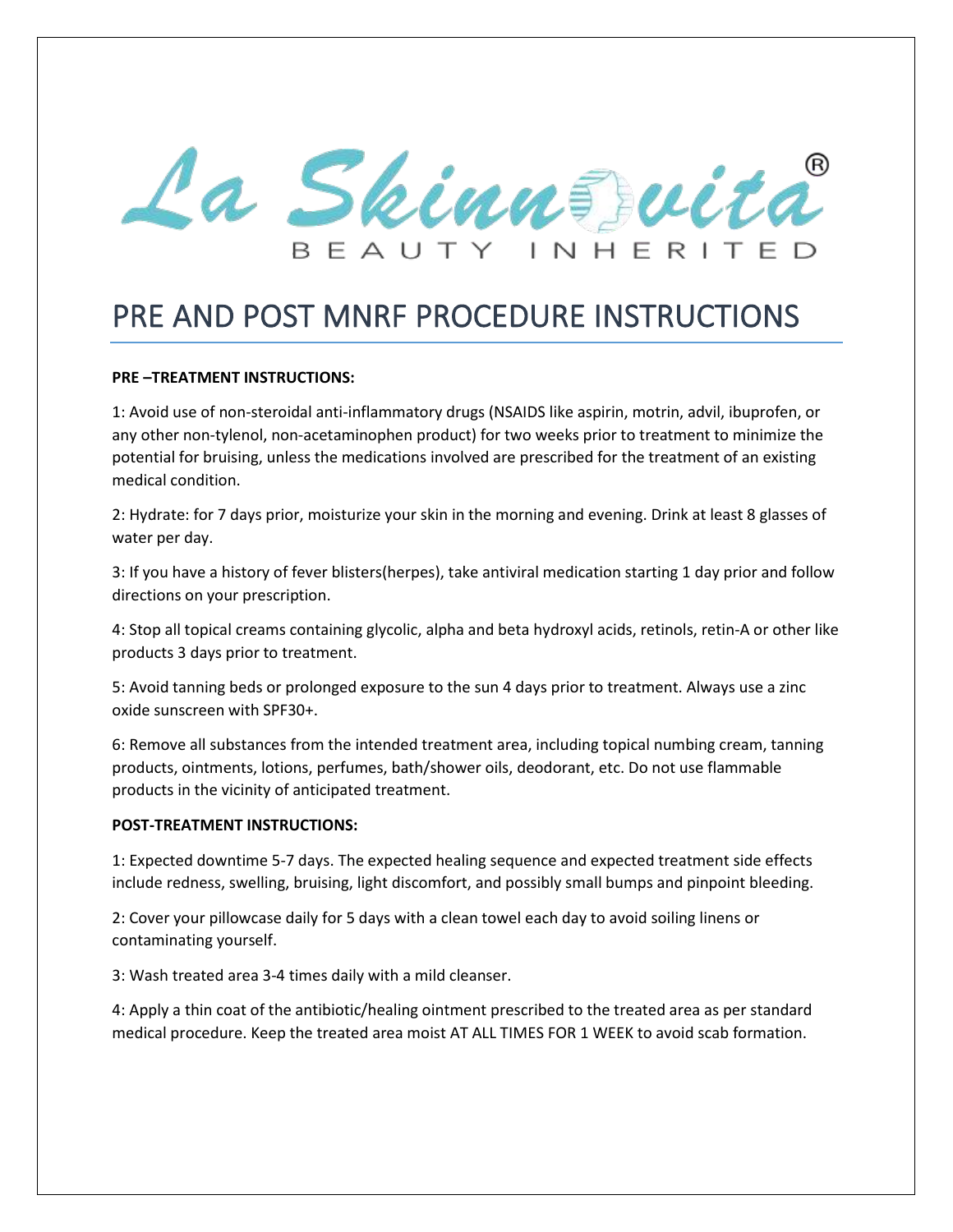

## PRE AND POST MNRF PROCEDURE INSTRUCTIONS

## **PRE –TREATMENT INSTRUCTIONS:**

1: Avoid use of non-steroidal anti-inflammatory drugs (NSAIDS like aspirin, motrin, advil, ibuprofen, or any other non-tylenol, non-acetaminophen product) for two weeks prior to treatment to minimize the potential for bruising, unless the medications involved are prescribed for the treatment of an existing medical condition.

2: Hydrate: for 7 days prior, moisturize your skin in the morning and evening. Drink at least 8 glasses of water per day.

3: If you have a history of fever blisters(herpes), take antiviral medication starting 1 day prior and follow directions on your prescription.

4: Stop all topical creams containing glycolic, alpha and beta hydroxyl acids, retinols, retin-A or other like products 3 days prior to treatment.

5: Avoid tanning beds or prolonged exposure to the sun 4 days prior to treatment. Always use a zinc oxide sunscreen with SPF30+.

6: Remove all substances from the intended treatment area, including topical numbing cream, tanning products, ointments, lotions, perfumes, bath/shower oils, deodorant, etc. Do not use flammable products in the vicinity of anticipated treatment.

## **POST-TREATMENT INSTRUCTIONS:**

1: Expected downtime 5-7 days. The expected healing sequence and expected treatment side effects include redness, swelling, bruising, light discomfort, and possibly small bumps and pinpoint bleeding.

2: Cover your pillowcase daily for 5 days with a clean towel each day to avoid soiling linens or contaminating yourself.

3: Wash treated area 3-4 times daily with a mild cleanser.

4: Apply a thin coat of the antibiotic/healing ointment prescribed to the treated area as per standard medical procedure. Keep the treated area moist AT ALL TIMES FOR 1 WEEK to avoid scab formation.